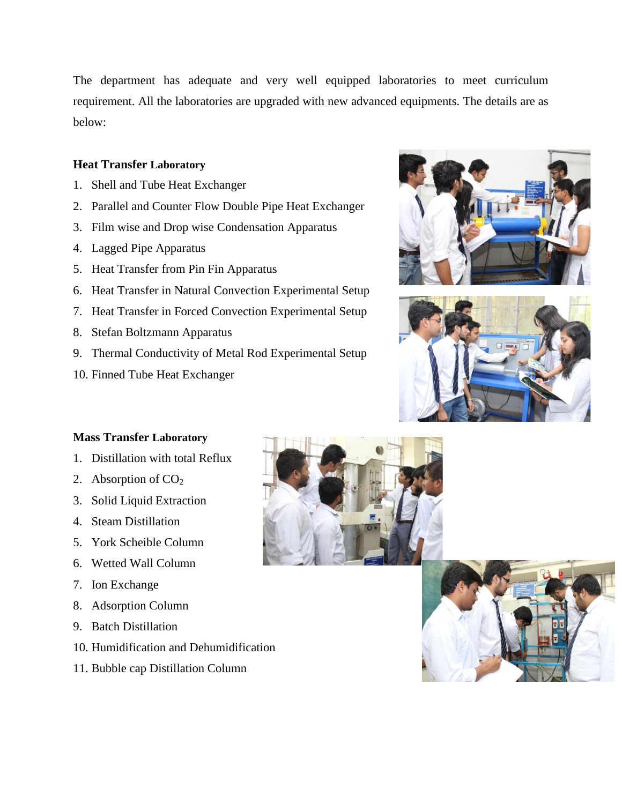The department has adequate and very well equipped laboratories to meet curriculum requirement. All the laboratories are upgraded with new advanced equipments. The details are as below:

## **Heat Transfer Laboratory**

- 1. Shell and Tube Heat Exchanger
- 2. Parallel and Counter Flow Double Pipe Heat Exchanger
- 3. Film wise and Drop wise Condensation Apparatus
- 4. Lagged Pipe Apparatus
- 5. Heat Transfer from Pin Fin Apparatus
- 6. Heat Transfer in Natural Convection Experimental Setup
- 7. Heat Transfer in Forced Convection Experimental Setup
- 8. Stefan Boltzmann Apparatus
- 9. Thermal Conductivity of Metal Rod Experimental Setup
- 10. Finned Tube Heat Exchanger





## **Mass Transfer Laboratory**

- 1. Distillation with total Reflux
- 2. Absorption of  $CO<sub>2</sub>$
- 3. Solid Liquid Extraction
- 4. Steam Distillation
- 5. York Scheible Column
- 6. Wetted Wall Column
- 7. Ion Exchange
- 8. Adsorption Column
- 9. Batch Distillation
- 10. Humidification and Dehumidification
- 11. Bubble cap Distillation Column



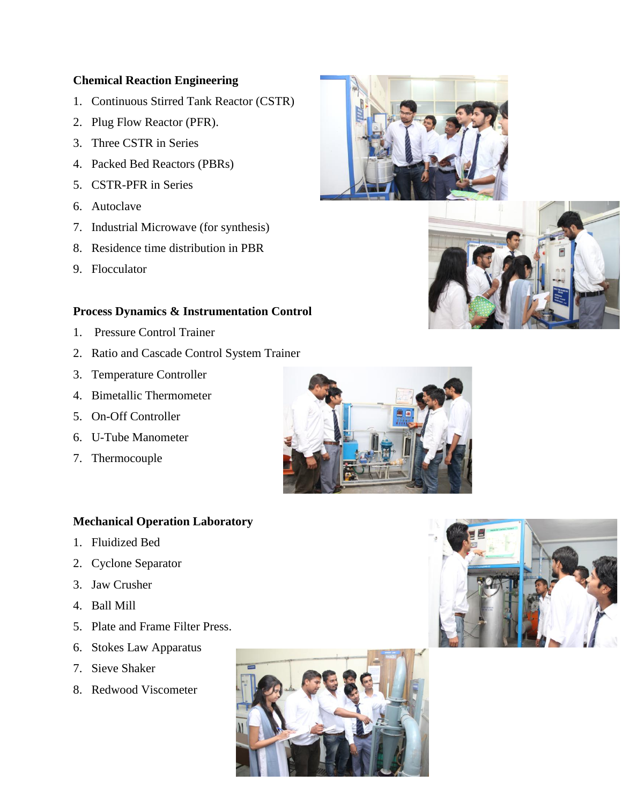#### **Chemical Reaction Engineering**

- 1. Continuous Stirred Tank Reactor (CSTR)
- 2. Plug Flow Reactor (PFR).
- 3. Three CSTR in Series
- 4. Packed Bed Reactors (PBRs)
- 5. CSTR-PFR in Series
- 6. Autoclave
- 7. Industrial Microwave (for synthesis)
- 8. Residence time distribution in PBR
- 9. Flocculator

#### **Process Dynamics & Instrumentation Control**

- 1. Pressure Control Trainer
- 2. Ratio and Cascade Control System Trainer
- 3. Temperature Controller
- 4. Bimetallic Thermometer
- 5. On-Off Controller
- 6. U-Tube Manometer
- 7. Thermocouple

# **Mechanical Operation Laboratory**

- 1. Fluidized Bed
- 2. Cyclone Separator
- 3. Jaw Crusher
- 4. Ball Mill
- 5. Plate and Frame Filter Press.
- 6. Stokes Law Apparatus
- 7. Sieve Shaker
- 8. Redwood Viscometer